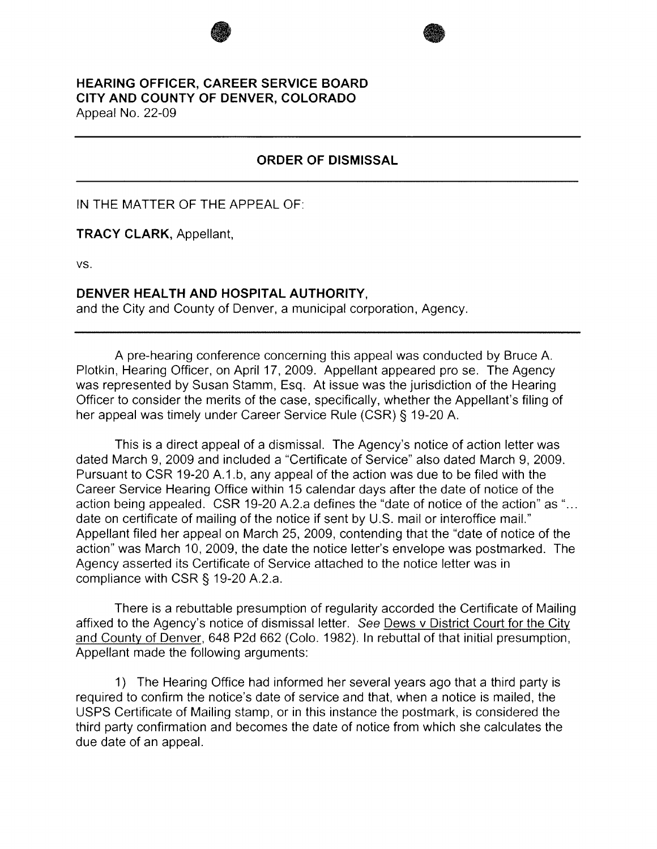# **HEARING OFFICER, CAREER SERVICE BOARD CITY AND COUNTY OF DENVER, COLORADO**

Appeal No. 22-09

## **ORDER OF DISMISSAL**

**1999** 

IN THE MATTER OF THE APPEAL OF:

**TRACY CLARK,** Appellant,

vs.

#### **DENVER HEALTH AND HOSPITAL AUTHORITY,**

and the City and County of Denver, a municipal corporation, Agency.

A pre-hearing conference concerning this appeal was conducted by Bruce A. Plotkin, Hearing Officer, on April 17, 2009. Appellant appeared prose. The Agency was represented by Susan Stamm, Esq. At issue was the jurisdiction of the Hearing Officer to consider the merits of the case, specifically, whether the Appellant's filing of her appeal was timely under Career Service Rule (CSR)§ 19-20 A.

This is a direct appeal of a dismissal. The Agency's notice of action letter was dated March 9, 2009 and included a "Certificate of Service" also dated March 9, 2009. Pursuant to CSR 19-20 A.1.b, any appeal of the action was due to be filed with the Career Service Hearing Office within 15 calendar days after the date of notice of the action being appealed. CSR 19-20 A.2.a defines the "date of notice of the action" as "... date on certificate of mailing of the notice if sent by U.S. mail or interoffice mail." Appellant filed her appeal on March 25, 2009, contending that the "date of notice of the action" was March 10, 2009, the date the notice letter's envelope was postmarked. The Agency asserted its Certificate of Service attached to the notice letter was in compliance with CSR§ 19-20 A.2.a.

There is a rebuttable presumption of regularity accorded the Certificate of Mailing affixed to the Agency's notice of dismissal letter. See Dews v District Court for the City and County of Denver, 648 P2d 662 (Colo. 1982). In rebuttal of that initial presumption, Appellant made the following arguments:

1) The Hearing Office had informed her several years ago that a third party is required to confirm the notice's date of service and that, when a notice is mailed, the USPS Certificate of Mailing stamp, or in this instance the postmark, is considered the third party confirmation and becomes the date of notice from which she calculates the due date of an appeal.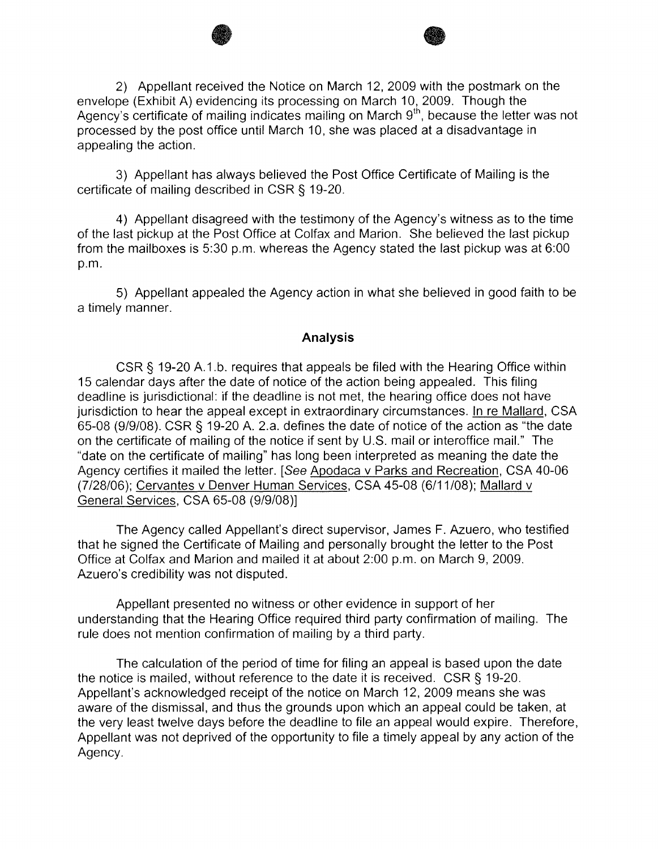2) Appellant received the Notice on March 12, 2009 with the postmark on the envelope (Exhibit A) evidencing its processing on March 10, 2009. Though the Agency's certificate of mailing indicates mailing on March  $9<sup>th</sup>$ , because the letter was not processed by the post office until March 10, she was placed at a disadvantage in appealing the action.

 $\bullet$ 

3) Appellant has always believed the Post Office Certificate of Mailing is the certificate of mailing described in CSR § 19-20.

4) Appellant disagreed with the testimony of the Agency's witness as to the time of the last pickup at the Post Office at Colfax and Marion. She believed the last pickup from the mailboxes is 5:30 p.m. whereas the Agency stated the last pickup was at 6:00 p.m.

5) Appellant appealed the Agency action in what she believed in good faith to be a timely manner.

### **Analysis**

CSR§ 19-20 A.1.b. requires that appeals be filed with the Hearing Office within 15 calendar days after the date of notice of the action being appealed. This filing deadline is jurisdictional: if the deadline is not met, the hearing office does not have jurisdiction to hear the appeal except in extraordinary circumstances. In re Mallard, CSA 65-08 (9/9/08). CSR § 19-20 A. 2.a. defines the date of notice of the action as "the date on the certificate of mailing of the notice if sent by U.S. mail or interoffice mail." The "date on the certificate of mailing" has long been interpreted as meaning the date the Agency certifies it mailed the letter. [See Apodaca v Parks and Recreation, CSA 40-06 (7/28/06); Cervantes v Denver Human Services, CSA 45-08 (6/11/08); Mallard v General Services, CSA 65-08 (9/9/08)]

The Agency called Appellant's direct supervisor, James F. Azuero, who testified that he signed the Certificate of Mailing and personally brought the letter to the Post Office at Colfax and Marion and mailed it at about 2:00 p.m. on March 9, 2009. Azuero's credibility was not disputed.

Appellant presented no witness or other evidence in support of her understanding that the Hearing Office required third party confirmation of mailing. The rule does not mention confirmation of mailing by a third party.

The calculation of the period of time for filing an appeal is based upon the date the notice is mailed, without reference to the date it is received. CSR§ 19-20. Appellant's acknowledged receipt of the notice on March 12, 2009 means she was aware of the dismissal, and thus the grounds upon which an appeal could be taken, at the very least twelve days before the deadline to file an appeal would expire. Therefore, Appellant was not deprived of the opportunity to file a timely appeal by any action of the Agency.